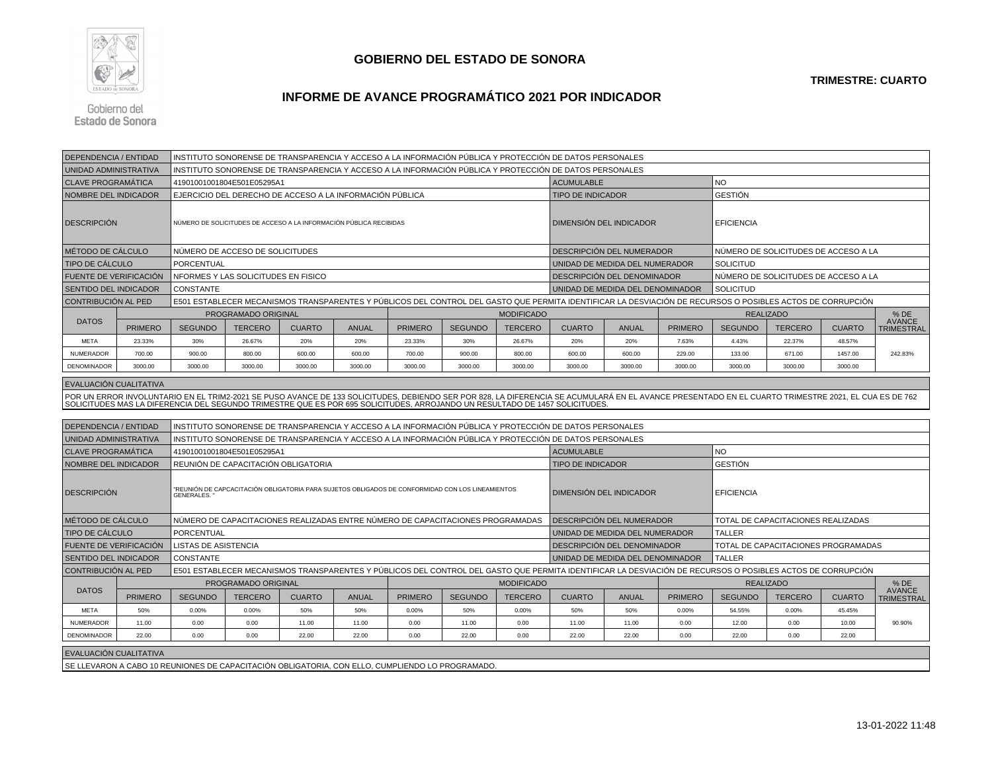

## **GOBIERNO DEL ESTADO DE SONORA**

**TRIMESTRE: CUARTO**

## **INFORME DE AVANCE PROGRAMÁTICO 2021 POR INDICADOR**

Gobierno del **Estado de Sonora** 

| <b>DEPENDENCIA / ENTIDAD</b>  |                |                                                                                                                                                            |                                                                                                         |               |              |                   |                |                | INSTITUTO SONORENSE DE TRANSPARENCIA Y ACCESO A LA INFORMACIÓN PÚBLICA Y PROTECCIÓN DE DATOS PERSONALES                                                                                                                           |                                                   |                |                                                                                                                                                            |                                      |               |                                    |  |  |  |  |
|-------------------------------|----------------|------------------------------------------------------------------------------------------------------------------------------------------------------------|---------------------------------------------------------------------------------------------------------|---------------|--------------|-------------------|----------------|----------------|-----------------------------------------------------------------------------------------------------------------------------------------------------------------------------------------------------------------------------------|---------------------------------------------------|----------------|------------------------------------------------------------------------------------------------------------------------------------------------------------|--------------------------------------|---------------|------------------------------------|--|--|--|--|
| UNIDAD ADMINISTRATIVA         |                | INSTITUTO SONORENSE DE TRANSPARENCIA Y ACCESO A LA INFORMACIÓN PÚBLICA Y PROTECCIÓN DE DATOS PERSONALES                                                    |                                                                                                         |               |              |                   |                |                |                                                                                                                                                                                                                                   |                                                   |                |                                                                                                                                                            |                                      |               |                                    |  |  |  |  |
| <b>CLAVE PROGRAMÁTICA</b>     |                | 41901001001804E501E05295A1                                                                                                                                 |                                                                                                         |               |              |                   |                |                |                                                                                                                                                                                                                                   | <b>ACUMULABLE</b>                                 |                | <b>NO</b>                                                                                                                                                  |                                      |               |                                    |  |  |  |  |
| NOMBRE DEL INDICADOR          |                | EJERCICIO DEL DERECHO DE ACCESO A LA INFORMACIÓN PÚBLICA                                                                                                   |                                                                                                         |               |              |                   |                |                |                                                                                                                                                                                                                                   | <b>TIPO DE INDICADOR</b>                          |                |                                                                                                                                                            |                                      |               |                                    |  |  |  |  |
| <b>DESCRIPCION</b>            |                | NÚMERO DE SOLICITUDES DE ACCESO A LA INFORMACIÓN PÚBLICA RECIBIDAS                                                                                         |                                                                                                         |               |              |                   |                |                |                                                                                                                                                                                                                                   | DIMENSIÓN DEL INDICADOR                           |                |                                                                                                                                                            | <b>EFICIENCIA</b>                    |               |                                    |  |  |  |  |
| MÉTODO DE CÁLCULO             |                | NÚMERO DE ACCESO DE SOLICITUDES                                                                                                                            |                                                                                                         |               |              |                   |                |                |                                                                                                                                                                                                                                   | DESCRIPCIÓN DEL NUMERADOR                         |                |                                                                                                                                                            | NÚMERO DE SOLICITUDES DE ACCESO A LA |               |                                    |  |  |  |  |
| TIPO DE CÁLCULO               |                | PORCENTUAL                                                                                                                                                 |                                                                                                         |               |              |                   |                |                |                                                                                                                                                                                                                                   | UNIDAD DE MEDIDA DEL NUMERADOR                    |                |                                                                                                                                                            | <b>SOLICITUD</b>                     |               |                                    |  |  |  |  |
| FUENTE DE VERIFICACIÓN        |                | NFORMES Y LAS SOLICITUDES EN FISICO                                                                                                                        |                                                                                                         |               |              |                   |                |                |                                                                                                                                                                                                                                   | DESCRIPCIÓN DEL DENOMINADOR                       |                |                                                                                                                                                            | NÚMERO DE SOLICITUDES DE ACCESO A LA |               |                                    |  |  |  |  |
| <b>SENTIDO DEL INDICADOR</b>  |                | <b>CONSTANTE</b>                                                                                                                                           |                                                                                                         |               |              |                   |                |                |                                                                                                                                                                                                                                   | UNIDAD DE MEDIDA DEL DENOMINADOR                  |                |                                                                                                                                                            | <b>SOLICITUD</b>                     |               |                                    |  |  |  |  |
| CONTRIBUCIÓN AL PED           |                |                                                                                                                                                            |                                                                                                         |               |              |                   |                |                |                                                                                                                                                                                                                                   |                                                   |                | E501 ESTABLECER MECANISMOS TRANSPARENTES Y PÚBLICOS DEL CONTROL DEL GASTO QUE PERMITA IDENTIFICAR LA DESVIACIÓN DE RECURSOS O POSIBLES ACTOS DE CORRUPCIÓN |                                      |               |                                    |  |  |  |  |
| <b>DATOS</b>                  |                |                                                                                                                                                            | PROGRAMADO ORIGINAL                                                                                     |               |              | <b>MODIFICADO</b> |                |                |                                                                                                                                                                                                                                   |                                                   |                | <b>REALIZADO</b>                                                                                                                                           |                                      |               | % DE                               |  |  |  |  |
|                               | <b>PRIMERO</b> | <b>SEGUNDO</b>                                                                                                                                             | <b>TERCERO</b>                                                                                          | <b>CUARTO</b> | <b>ANUAL</b> | <b>PRIMERO</b>    | <b>SEGUNDO</b> | <b>TERCERO</b> | <b>CUARTO</b>                                                                                                                                                                                                                     | <b>ANUAL</b>                                      | <b>PRIMERO</b> | <b>SEGUNDO</b>                                                                                                                                             | <b>TERCERO</b>                       | <b>CUARTO</b> | <b>AVANCE</b><br><b>TRIMESTRAL</b> |  |  |  |  |
| <b>META</b>                   | 23.33%         | 30%                                                                                                                                                        | 26.67%                                                                                                  | 20%           | 20%          | 23.33%            | 30%            | 26.67%         | 20%                                                                                                                                                                                                                               | 20%                                               | 7.63%          | 4.43%                                                                                                                                                      | 22.37%                               | 48.57%        | 242.83%                            |  |  |  |  |
| NUMERADOR                     | 700.00         | 900.00                                                                                                                                                     | 800.00                                                                                                  | 600.00        | 600.00       | 700.00            | 900.00         | 800.00         | 600.00                                                                                                                                                                                                                            | 600.00                                            | 229.00         | 133.00                                                                                                                                                     | 671.00                               | 1457.00       |                                    |  |  |  |  |
| DENOMINADOR                   | 3000.00        | 3000.00                                                                                                                                                    | 3000.00                                                                                                 | 3000.00       | 3000.00      | 3000.00           | 3000.00        | 3000.00        | 3000.00                                                                                                                                                                                                                           | 3000.00                                           | 3000.00        | 3000.00                                                                                                                                                    | 3000.00                              | 3000.00       |                                    |  |  |  |  |
| <b>EVALUACIÓN CUALITATIVA</b> |                |                                                                                                                                                            |                                                                                                         |               |              |                   |                |                |                                                                                                                                                                                                                                   |                                                   |                |                                                                                                                                                            |                                      |               |                                    |  |  |  |  |
|                               |                |                                                                                                                                                            |                                                                                                         |               |              |                   |                |                |                                                                                                                                                                                                                                   |                                                   |                |                                                                                                                                                            |                                      |               |                                    |  |  |  |  |
|                               |                |                                                                                                                                                            |                                                                                                         |               |              |                   |                |                | POR UN ERROR INVOLUNTARIO EN EL TRIM2-2021 SE PUSO AVANCE DE 133 SOLICITUDES, DEBIENDO SER POR 828, LA DIFERENCIA SE ACUMULARÁ EN EL AVANCE PRESENTADO EN EL CUARTO TRIMESTRE 2021, EL CUA ES DE 762<br>SOLICITUDES MAS LA DIFERE |                                                   |                |                                                                                                                                                            |                                      |               |                                    |  |  |  |  |
|                               |                |                                                                                                                                                            |                                                                                                         |               |              |                   |                |                |                                                                                                                                                                                                                                   |                                                   |                |                                                                                                                                                            |                                      |               |                                    |  |  |  |  |
| DEPENDENCIA / ENTIDAD         |                |                                                                                                                                                            |                                                                                                         |               |              |                   |                |                | INSTITUTO SONORENSE DE TRANSPARENCIA Y ACCESO A LA INFORMACIÓN PÚBLICA Y PROTECCIÓN DE DATOS PERSONALES                                                                                                                           |                                                   |                |                                                                                                                                                            |                                      |               |                                    |  |  |  |  |
| UNIDAD ADMINISTRATIVA         |                |                                                                                                                                                            | INSTITUTO SONORENSE DE TRANSPARENCIA Y ACCESO A LA INFORMACIÓN PÚBLICA Y PROTECCIÓN DE DATOS PERSONALES |               |              |                   |                |                |                                                                                                                                                                                                                                   |                                                   |                |                                                                                                                                                            |                                      |               |                                    |  |  |  |  |
| <b>CLAVE PROGRAMÁTICA</b>     |                | 41901001001804E501E05295A1                                                                                                                                 |                                                                                                         |               |              |                   |                |                | <b>ACUMULABLE</b><br><b>TIPO DE INDICADOR</b>                                                                                                                                                                                     |                                                   |                | <b>NO</b>                                                                                                                                                  |                                      |               |                                    |  |  |  |  |
| <b>NOMBRE DEL INDICADOR</b>   |                | REUNIÓN DE CAPACITACIÓN OBLIGATORIA                                                                                                                        |                                                                                                         |               |              |                   |                |                |                                                                                                                                                                                                                                   |                                                   |                | <b>GESTIÓN</b>                                                                                                                                             |                                      |               |                                    |  |  |  |  |
| <b>DESCRIPCIÓN</b>            |                | "REUNIÓN DE CAPCACITACIÓN OBLIGATORIA PARA SUJETOS OBLIGADOS DE CONFORMIDAD CON LOS LINEAMIENTOS<br>GENERALES. *                                           |                                                                                                         |               |              |                   |                |                | DIMENSIÓN DEL INDICADOR                                                                                                                                                                                                           |                                                   |                | <b>EFICIENCIA</b>                                                                                                                                          |                                      |               |                                    |  |  |  |  |
| MÉTODO DE CÁLCULO             |                | NÚMERO DE CAPACITACIONES REALIZADAS ENTRE NÚMERO DE CAPACITACIONES PROGRAMADAS                                                                             |                                                                                                         |               |              |                   |                |                | DESCRIPCIÓN DEL NUMERADOR                                                                                                                                                                                                         |                                                   |                | TOTAL DE CAPACITACIONES REALIZADAS                                                                                                                         |                                      |               |                                    |  |  |  |  |
| <b>TIPO DE CÁLCULO</b>        |                | PORCENTUAL                                                                                                                                                 |                                                                                                         |               |              |                   |                |                |                                                                                                                                                                                                                                   | UNIDAD DE MEDIDA DEL NUMERADOR                    |                |                                                                                                                                                            | <b>TALLER</b>                        |               |                                    |  |  |  |  |
| FUENTE DE VERIFICACIÓN        |                | LISTAS DE ASISTENCIA                                                                                                                                       |                                                                                                         |               |              |                   |                |                |                                                                                                                                                                                                                                   | DESCRIPCIÓN DEL DENOMINADOR                       |                |                                                                                                                                                            | TOTAL DE CAPACITACIONES PROGRAMADAS  |               |                                    |  |  |  |  |
| SENTIDO DEL INDICADOR         |                | <b>CONSTANTE</b>                                                                                                                                           |                                                                                                         |               |              |                   |                |                |                                                                                                                                                                                                                                   | UNIDAD DE MEDIDA DEL DENOMINADOR<br><b>TALLER</b> |                |                                                                                                                                                            |                                      |               |                                    |  |  |  |  |
| <b>CONTRIBUCIÓN AL PED</b>    |                | E501 ESTABLECER MECANISMOS TRANSPARENTES Y PÚBLICOS DEL CONTROL DEL GASTO QUE PERMITA IDENTIFICAR LA DESVIACIÓN DE RECURSOS O POSIBLES ACTOS DE CORRUPCIÓN |                                                                                                         |               |              |                   |                |                |                                                                                                                                                                                                                                   |                                                   |                |                                                                                                                                                            |                                      |               |                                    |  |  |  |  |
| <b>DATOS</b>                  |                | PROGRAMADO ORIGINAL<br><b>MODIFICADO</b>                                                                                                                   |                                                                                                         |               |              |                   |                |                |                                                                                                                                                                                                                                   |                                                   |                | <b>REALIZADO</b>                                                                                                                                           |                                      |               | $%$ DE                             |  |  |  |  |
|                               | <b>PRIMERO</b> | <b>SEGUNDO</b>                                                                                                                                             | <b>TERCERO</b>                                                                                          | <b>CUARTO</b> | <b>ANUAL</b> | <b>PRIMERO</b>    | <b>SEGUNDO</b> | <b>TERCERO</b> | <b>CUARTO</b>                                                                                                                                                                                                                     | <b>ANUAL</b>                                      | <b>PRIMERO</b> | <b>SEGUNDO</b>                                                                                                                                             | <b>TERCERO</b>                       | <b>CUARTO</b> | <b>AVANCE</b><br><b>TRIMESTRAL</b> |  |  |  |  |
| <b>META</b>                   | 50%            | 0.00%                                                                                                                                                      | 0.00%                                                                                                   | 50%           | 50%          | 0.00%             | 50%            | 0.00%          | 50%                                                                                                                                                                                                                               | 50%                                               | 0.00%          | 54.55%                                                                                                                                                     | 0.00%                                | 45.45%        |                                    |  |  |  |  |
| NUMERADOR                     | 11.00          | 0.00                                                                                                                                                       | 0.00                                                                                                    | 11.00         | 11.00        | 0.00              | 11.00          | 0.00           | 11.00                                                                                                                                                                                                                             | 11.00                                             | 0.00           | 12.00                                                                                                                                                      | 0.00                                 | 10.00         | 90.90%                             |  |  |  |  |
| DENOMINADOR                   | 22.00          | 0.00                                                                                                                                                       | 0.00                                                                                                    | 22.00         | 22.00        | 0.00              | 22.00          | 0.00           | 22.00                                                                                                                                                                                                                             | 22.00                                             | 0.00           | 22.00                                                                                                                                                      | 0.00                                 | 22.00         |                                    |  |  |  |  |
| EVALUACIÓN CUALITATIVA        |                |                                                                                                                                                            |                                                                                                         |               |              |                   |                |                |                                                                                                                                                                                                                                   |                                                   |                |                                                                                                                                                            |                                      |               |                                    |  |  |  |  |
|                               |                | SE LLEVARON A CABO 10 REUNIONES DE CAPACITACIÓN OBLIGATORIA, CON ELLO, CUMPLIENDO LO PROGRAMADO.                                                           |                                                                                                         |               |              |                   |                |                |                                                                                                                                                                                                                                   |                                                   |                |                                                                                                                                                            |                                      |               |                                    |  |  |  |  |